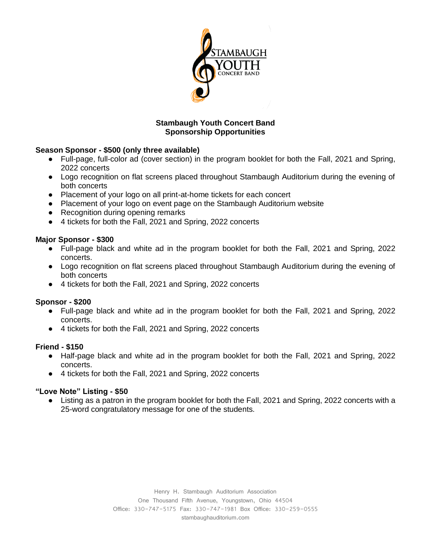

## **Stambaugh Youth Concert Band Sponsorship Opportunities**

## **Season Sponsor - \$500 (only three available)**

- Full-page, full-color ad (cover section) in the program booklet for both the Fall, 2021 and Spring, 2022 concerts
- Logo recognition on flat screens placed throughout Stambaugh Auditorium during the evening of both concerts
- Placement of your logo on all print-at-home tickets for each concert
- Placement of your logo on event page on the Stambaugh Auditorium website
- Recognition during opening remarks
- 4 tickets for both the Fall, 2021 and Spring, 2022 concerts

## **Major Sponsor - \$300**

- Full-page black and white ad in the program booklet for both the Fall, 2021 and Spring, 2022 concerts.
- Logo recognition on flat screens placed throughout Stambaugh Auditorium during the evening of both concerts
- 4 tickets for both the Fall, 2021 and Spring, 2022 concerts

# **Sponsor - \$200**

- Full-page black and white ad in the program booklet for both the Fall, 2021 and Spring, 2022 concerts.
- 4 tickets for both the Fall, 2021 and Spring, 2022 concerts

### **Friend - \$150**

- Half-page black and white ad in the program booklet for both the Fall, 2021 and Spring, 2022 concerts.
- 4 tickets for both the Fall, 2021 and Spring, 2022 concerts

### **"Love Note" Listing - \$50**

● Listing as a patron in the program booklet for both the Fall, 2021 and Spring, 2022 concerts with a 25-word congratulatory message for one of the students.